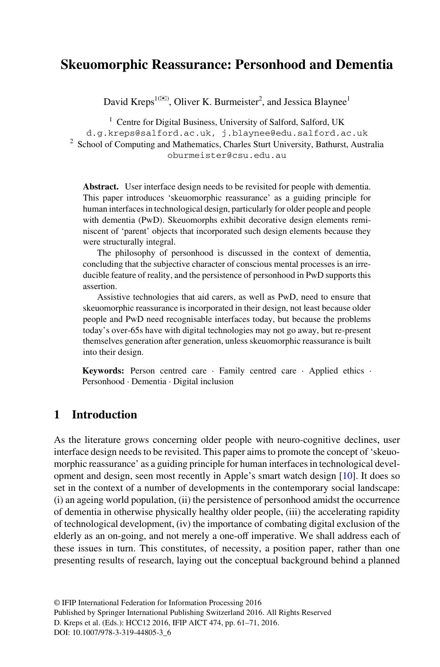# **Skeuomorphic Reassurance: Personhood and Dementia**

David Kreps<sup>1( $\boxtimes$ )</sup>, Oliver K. Burmeister<sup>2</sup>, and Jessica Blaynee<sup>1</sup>

<sup>1</sup> Centre for Digital Business, University of Salford, Salford, UK

d.g.kreps@salford.ac.uk, j.blaynee@edu.salford.ac.uk

<sup>2</sup> School of Computing and Mathematics, Charles Sturt University, Bathurst, Australia oburmeister@csu.edu.au

**Abstract.** User interface design needs to be revisited for people with dementia. This paper introduces 'skeuomorphic reassurance' as a guiding principle for human interfaces in technological design, particularly for older people and people with dementia (PwD). Skeuomorphs exhibit decorative design elements reminiscent of 'parent' objects that incorporated such design elements because they were structurally integral.

The philosophy of personhood is discussed in the context of dementia, concluding that the subjective character of conscious mental processes is an irreducible feature of reality, and the persistence of personhood in PwD supports this assertion.

Assistive technologies that aid carers, as well as PwD, need to ensure that skeuomorphic reassurance is incorporated in their design, not least because older people and PwD need recognisable interfaces today, but because the problems today's over-65s have with digital technologies may not go away, but re-present themselves generation after generation, unless skeuomorphic reassurance is built into their design.

**Keywords:** Person centred care · Family centred care · Applied ethics · Personhood · Dementia · Digital inclusion

# **1 Introduction**

As the literature grows concerning older people with neuro-cognitive declines, user interface design needs to be revisited. This paper aims to promote the concept of 'skeuomorphic reassurance' as a guiding principle for human interfaces in technological development and design, seen most recently in Apple's smart watch design [10]. It does so set in the context of a number of developments in the contemporary social landscape: (i) an ageing world population, (ii) the persistence of personhood amidst the occurrence of dementia in otherwise physically healthy older people, (iii) the accelerating rapidity of technological development, (iv) the importance of combating digital exclusion of the elderly as an on-going, and not merely a one-off imperative. We shall address each of these issues in turn. This constitutes, of necessity, a position paper, rather than one presenting results of research, laying out the conceptual background behind a planned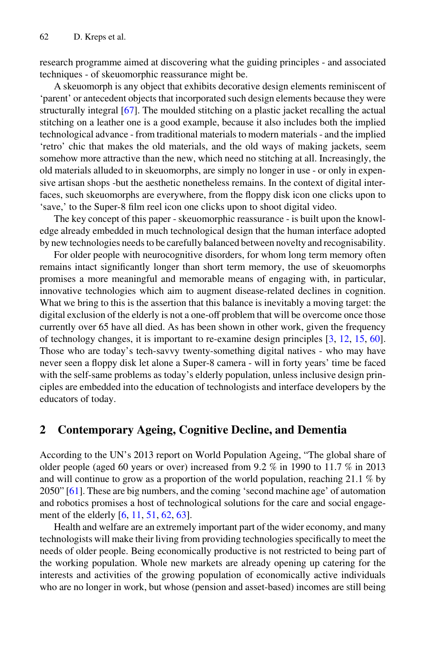research programme aimed at discovering what the guiding principles - and associated techniques - of skeuomorphic reassurance might be.

A skeuomorph is any object that exhibits decorative design elements reminiscent of 'parent' or antecedent objects that incorporated such design elements because they were structurally integral [67]. The moulded stitching on a plastic jacket recalling the actual stitching on a leather one is a good example, because it also includes both the implied technological advance - from traditional materials to modern materials - and the implied 'retro' chic that makes the old materials, and the old ways of making jackets, seem somehow more attractive than the new, which need no stitching at all. Increasingly, the old materials alluded to in skeuomorphs, are simply no longer in use - or only in expen‐ sive artisan shops -but the aesthetic nonetheless remains. In the context of digital inter‐ faces, such skeuomorphs are everywhere, from the floppy disk icon one clicks upon to 'save,' to the Super-8 film reel icon one clicks upon to shoot digital video.

The key concept of this paper - skeuomorphic reassurance - is built upon the knowledge already embedded in much technological design that the human interface adopted by new technologies needs to be carefully balanced between novelty and recognisability.

For older people with neurocognitive disorders, for whom long term memory often remains intact significantly longer than short term memory, the use of skeuomorphs promises a more meaningful and memorable means of engaging with, in particular, innovative technologies which aim to augment disease-related declines in cognition. What we bring to this is the assertion that this balance is inevitably a moving target: the digital exclusion of the elderly is not a one-off problem that will be overcome once those currently over 65 have all died. As has been shown in other work, given the frequency of technology changes, it is important to re-examine design principles [3, 12, 15, 60]. Those who are today's tech-savvy twenty-something digital natives - who may have never seen a floppy disk let alone a Super-8 camera - will in forty years' time be faced with the self-same problems as today's elderly population, unless inclusive design principles are embedded into the education of technologists and interface developers by the educators of today.

### **2 Contemporary Ageing, Cognitive Decline, and Dementia**

According to the UN's 2013 report on World Population Ageing, "The global share of older people (aged 60 years or over) increased from 9.2 % in 1990 to 11.7 % in 2013 and will continue to grow as a proportion of the world population, reaching 21.1 % by 2050" [61]. These are big numbers, and the coming 'second machine age' of automation and robotics promises a host of technological solutions for the care and social engagement of the elderly [6, 11, 51, 62, 63].

Health and welfare are an extremely important part of the wider economy, and many technologists will make their living from providing technologies specifically to meet the needs of older people. Being economically productive is not restricted to being part of the working population. Whole new markets are already opening up catering for the interests and activities of the growing population of economically active individuals who are no longer in work, but whose (pension and asset-based) incomes are still being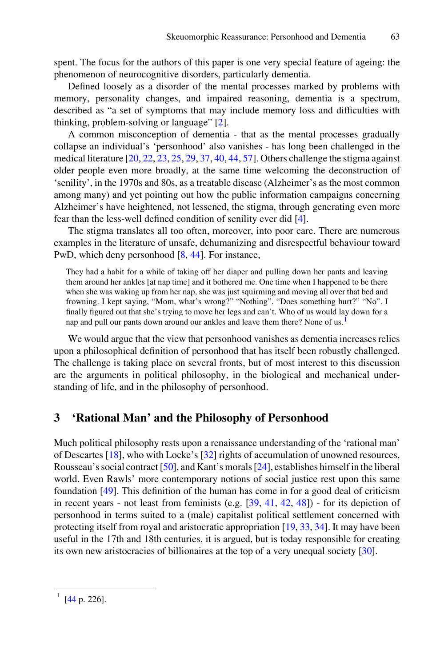spent. The focus for the authors of this paper is one very special feature of ageing: the phenomenon of neurocognitive disorders, particularly dementia.

Defined loosely as a disorder of the mental processes marked by problems with memory, personality changes, and impaired reasoning, dementia is a spectrum, described as "a set of symptoms that may include memory loss and difficulties with thinking, problem-solving or language" [2].

A common misconception of dementia - that as the mental processes gradually collapse an individual's 'personhood' also vanishes - has long been challenged in the medical literature [20, 22, 23, 25, 29, 37, 40, 44, 57]. Others challenge the stigma against older people even more broadly, at the same time welcoming the deconstruction of 'senility', in the 1970s and 80s, as a treatable disease (Alzheimer's as the most common among many) and yet pointing out how the public information campaigns concerning Alzheimer's have heightened, not lessened, the stigma, through generating even more fear than the less-well defined condition of senility ever did [4].

The stigma translates all too often, moreover, into poor care. There are numerous examples in the literature of unsafe, dehumanizing and disrespectful behaviour toward PwD, which deny personhood [8, 44]. For instance,

They had a habit for a while of taking off her diaper and pulling down her pants and leaving them around her ankles [at nap time] and it bothered me. One time when I happened to be there when she was waking up from her nap, she was just squirming and moving all over that bed and frowning. I kept saying, "Mom, what's wrong?" "Nothing". "Does something hurt?" "No". I finally figured out that she's trying to move her legs and can't. Who of us would lay down for a nap and pull our pants down around our ankles and leave them there? None of us.<sup>1</sup>

We would argue that the view that personhood vanishes as dementia increases relies upon a philosophical definition of personhood that has itself been robustly challenged. The challenge is taking place on several fronts, but of most interest to this discussion are the arguments in political philosophy, in the biological and mechanical under‐ standing of life, and in the philosophy of personhood.

#### **3 'Rational Man' and the Philosophy of Personhood**

Much political philosophy rests upon a renaissance understanding of the 'rational man' of Descartes [18], who with Locke's [32] rights of accumulation of unowned resources, Rousseau's social contract [50], and Kant's morals [24], establishes himself in the liberal world. Even Rawls' more contemporary notions of social justice rest upon this same foundation [49]. This definition of the human has come in for a good deal of criticism in recent years - not least from feminists (e.g. [39, 41, 42, 48]) - for its depiction of personhood in terms suited to a (male) capitalist political settlement concerned with protecting itself from royal and aristocratic appropriation [19, 33, 34]. It may have been useful in the 17th and 18th centuries, it is argued, but is today responsible for creating its own new aristocracies of billionaires at the top of a very unequal society [30].

 $1$  [44 p. 226].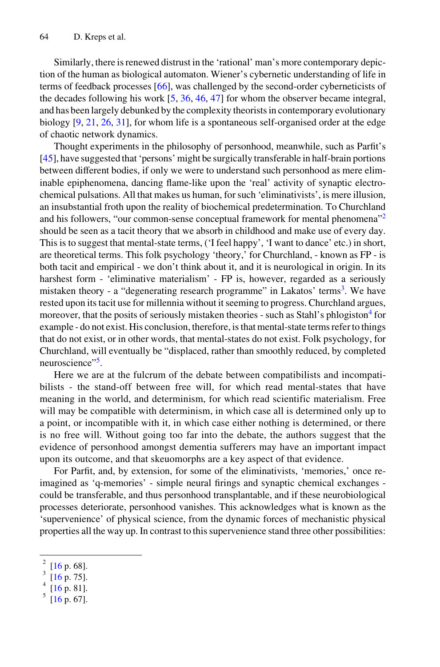Similarly, there is renewed distrust in the 'rational' man's more contemporary depic‐ tion of the human as biological automaton. Wiener's cybernetic understanding of life in terms of feedback processes [66], was challenged by the second-order cyberneticists of the decades following his work  $[5, 36, 46, 47]$  for whom the observer became integral, and has been largely debunked by the complexity theorists in contemporary evolutionary biology [9, 21, 26, 31], for whom life is a spontaneous self-organised order at the edge of chaotic network dynamics.

Thought experiments in the philosophy of personhood, meanwhile, such as Parfit's [45], have suggested that 'persons' might be surgically transferable in half-brain portions between different bodies, if only we were to understand such personhood as mere eliminable epiphenomena, dancing flame-like upon the 'real' activity of synaptic electrochemical pulsations. All that makes us human, for such 'eliminativists', is mere illusion, an insubstantial froth upon the reality of biochemical predetermination. To Churchland and his followers, "our common-sense conceptual framework for mental phenomena"2 should be seen as a tacit theory that we absorb in childhood and make use of every day. This is to suggest that mental-state terms, ('I feel happy', 'I want to dance' etc.) in short, are theoretical terms. This folk psychology 'theory,' for Churchland, - known as FP - is both tacit and empirical - we don't think about it, and it is neurological in origin. In its harshest form - 'eliminative materialism' - FP is, however, regarded as a seriously mistaken theory - a "degenerating research programme" in Lakatos' terms<sup>3</sup>. We have rested upon its tacit use for millennia without it seeming to progress. Churchland argues, moreover, that the posits of seriously mistaken theories - such as Stahl's phlogiston<sup>4</sup> for example - do not exist. His conclusion, therefore, is that mental-state terms refer to things that do not exist, or in other words, that mental-states do not exist. Folk psychology, for Churchland, will eventually be "displaced, rather than smoothly reduced, by completed neuroscience"<sup>5</sup>.

Here we are at the fulcrum of the debate between compatibilists and incompatibilists - the stand-off between free will, for which read mental-states that have meaning in the world, and determinism, for which read scientific materialism. Free will may be compatible with determinism, in which case all is determined only up to a point, or incompatible with it, in which case either nothing is determined, or there is no free will. Without going too far into the debate, the authors suggest that the evidence of personhood amongst dementia sufferers may have an important impact upon its outcome, and that skeuomorphs are a key aspect of that evidence.

For Parfit, and, by extension, for some of the eliminativists, 'memories,' once reimagined as 'q-memories' - simple neural firings and synaptic chemical exchanges could be transferable, and thus personhood transplantable, and if these neurobiological processes deteriorate, personhood vanishes. This acknowledges what is known as the 'supervenience' of physical science, from the dynamic forces of mechanistic physical properties all the way up. In contrast to this supervenience stand three other possibilities:

 $\begin{array}{c} \n\frac{2}{3} \quad \text{[16 p. 68]} \\
\text{[16 p. 75]} \\
\text{[16 p. 81]} \\
\text{[16 p. 67]} \n\end{array}$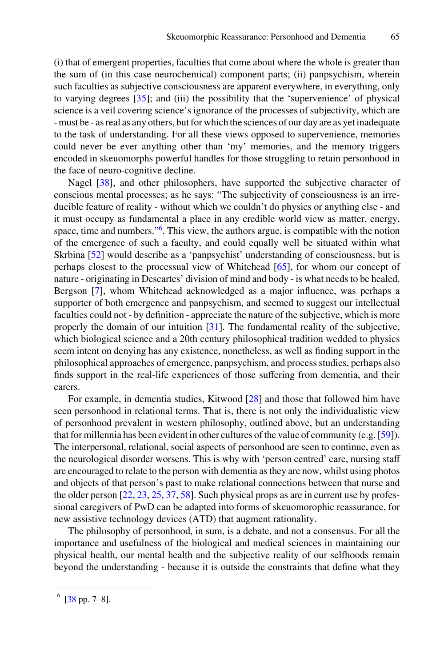(i) that of emergent properties, faculties that come about where the whole is greater than the sum of (in this case neurochemical) component parts; (ii) panpsychism, wherein such faculties as subjective consciousness are apparent everywhere, in everything, only to varying degrees [35]; and (iii) the possibility that the 'supervenience' of physical science is a veil covering science's ignorance of the processes of subjectivity, which are - must be - as real as any others, but for which the sciences of our day are as yet inadequate to the task of understanding. For all these views opposed to supervenience, memories could never be ever anything other than 'my' memories, and the memory triggers encoded in skeuomorphs powerful handles for those struggling to retain personhood in the face of neuro-cognitive decline.

Nagel [38], and other philosophers, have supported the subjective character of conscious mental processes; as he says: "The subjectivity of consciousness is an irreducible feature of reality - without which we couldn't do physics or anything else - and it must occupy as fundamental a place in any credible world view as matter, energy, space, time and numbers."<sup>6</sup>. This view, the authors argue, is compatible with the notion of the emergence of such a faculty, and could equally well be situated within what Skrbina [52] would describe as a 'panpsychist' understanding of consciousness, but is perhaps closest to the processual view of Whitehead [65], for whom our concept of nature - originating in Descartes' division of mind and body - is what needs to be healed. Bergson [7], whom Whitehead acknowledged as a major influence, was perhaps a supporter of both emergence and panpsychism, and seemed to suggest our intellectual faculties could not - by definition - appreciate the nature of the subjective, which is more properly the domain of our intuition [31]. The fundamental reality of the subjective, which biological science and a 20th century philosophical tradition wedded to physics seem intent on denying has any existence, nonetheless, as well as finding support in the philosophical approaches of emergence, panpsychism, and process studies, perhaps also finds support in the real-life experiences of those suffering from dementia, and their carers.

For example, in dementia studies, Kitwood [28] and those that followed him have seen personhood in relational terms. That is, there is not only the individualistic view of personhood prevalent in western philosophy, outlined above, but an understanding that for millennia has been evident in other cultures of the value of community (e.g. [59]). The interpersonal, relational, social aspects of personhood are seen to continue, even as the neurological disorder worsens. This is why with 'person centred' care, nursing staff are encouraged to relate to the person with dementia as they are now, whilst using photos and objects of that person's past to make relational connections between that nurse and the older person  $[22, 23, 25, 37, 58]$ . Such physical props as are in current use by professional caregivers of PwD can be adapted into forms of skeuomorophic reassurance, for new assistive technology devices (ATD) that augment rationality.

The philosophy of personhood, in sum, is a debate, and not a consensus. For all the importance and usefulness of the biological and medical sciences in maintaining our physical health, our mental health and the subjective reality of our selfhoods remain beyond the understanding - because it is outside the constraints that define what they

 $6$  [38 pp. 7–8].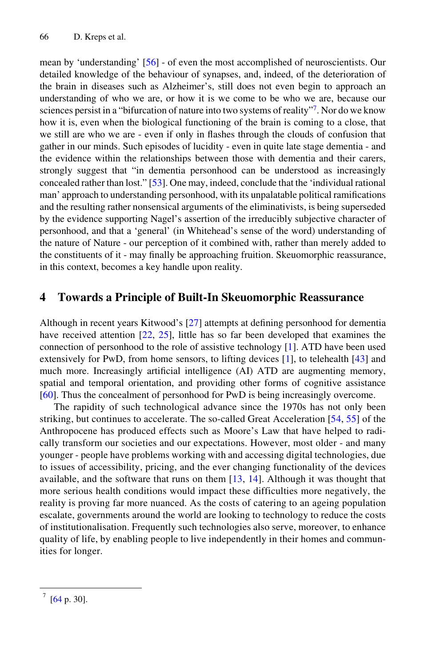mean by 'understanding' [56] - of even the most accomplished of neuroscientists. Our detailed knowledge of the behaviour of synapses, and, indeed, of the deterioration of the brain in diseases such as Alzheimer's, still does not even begin to approach an understanding of who we are, or how it is we come to be who we are, because our sciences persist in a "bifurcation of nature into two systems of reality"<sup>7</sup>. Nor do we know how it is, even when the biological functioning of the brain is coming to a close, that we still are who we are - even if only in flashes through the clouds of confusion that gather in our minds. Such episodes of lucidity - even in quite late stage dementia - and the evidence within the relationships between those with dementia and their carers, strongly suggest that "in dementia personhood can be understood as increasingly concealed rather than lost." [53]. One may, indeed, conclude that the 'individual rational man' approach to understanding personhood, with its unpalatable political ramifications and the resulting rather nonsensical arguments of the eliminativists, is being superseded by the evidence supporting Nagel's assertion of the irreducibly subjective character of personhood, and that a 'general' (in Whitehead's sense of the word) understanding of the nature of Nature - our perception of it combined with, rather than merely added to the constituents of it - may finally be approaching fruition. Skeuomorphic reassurance, in this context, becomes a key handle upon reality.

# **4 Towards a Principle of Built-In Skeuomorphic Reassurance**

Although in recent years Kitwood's [27] attempts at defining personhood for dementia have received attention [22, 25], little has so far been developed that examines the connection of personhood to the role of assistive technology [1]. ATD have been used extensively for PwD, from home sensors, to lifting devices [1], to telehealth [43] and much more. Increasingly artificial intelligence (AI) ATD are augmenting memory, spatial and temporal orientation, and providing other forms of cognitive assistance [60]. Thus the concealment of personhood for PwD is being increasingly overcome.

The rapidity of such technological advance since the 1970s has not only been striking, but continues to accelerate. The so-called Great Acceleration [54, 55] of the Anthropocene has produced effects such as Moore's Law that have helped to radi‐ cally transform our societies and our expectations. However, most older - and many younger - people have problems working with and accessing digital technologies, due to issues of accessibility, pricing, and the ever changing functionality of the devices available, and the software that runs on them [13, 14]. Although it was thought that more serious health conditions would impact these difficulties more negatively, the reality is proving far more nuanced. As the costs of catering to an ageing population escalate, governments around the world are looking to technology to reduce the costs of institutionalisation. Frequently such technologies also serve, moreover, to enhance quality of life, by enabling people to live independently in their homes and communities for longer.

 $^7$  [64 p. 30].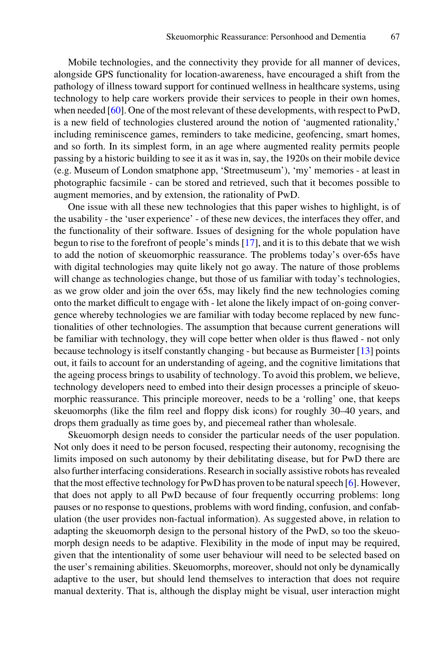Mobile technologies, and the connectivity they provide for all manner of devices, alongside GPS functionality for location-awareness, have encouraged a shift from the pathology of illness toward support for continued wellness in healthcare systems, using technology to help care workers provide their services to people in their own homes, when needed [60]. One of the most relevant of these developments, with respect to PwD, is a new field of technologies clustered around the notion of 'augmented rationality,' including reminiscence games, reminders to take medicine, geofencing, smart homes, and so forth. In its simplest form, in an age where augmented reality permits people passing by a historic building to see it as it was in, say, the 1920s on their mobile device (e.g. Museum of London smatphone app, 'Streetmuseum'), 'my' memories - at least in photographic facsimile - can be stored and retrieved, such that it becomes possible to augment memories, and by extension, the rationality of PwD.

One issue with all these new technologies that this paper wishes to highlight, is of the usability - the 'user experience' - of these new devices, the interfaces they offer, and the functionality of their software. Issues of designing for the whole population have begun to rise to the forefront of people's minds [17], and it is to this debate that we wish to add the notion of skeuomorphic reassurance. The problems today's over-65s have with digital technologies may quite likely not go away. The nature of those problems will change as technologies change, but those of us familiar with today's technologies, as we grow older and join the over 65s, may likely find the new technologies coming onto the market difficult to engage with - let alone the likely impact of on-going conver‐ gence whereby technologies we are familiar with today become replaced by new func‐ tionalities of other technologies. The assumption that because current generations will be familiar with technology, they will cope better when older is thus flawed - not only because technology is itself constantly changing - but because as Burmeister [13] points out, it fails to account for an understanding of ageing, and the cognitive limitations that the ageing process brings to usability of technology. To avoid this problem, we believe, technology developers need to embed into their design processes a principle of skeuomorphic reassurance. This principle moreover, needs to be a 'rolling' one, that keeps skeuomorphs (like the film reel and floppy disk icons) for roughly 30–40 years, and drops them gradually as time goes by, and piecemeal rather than wholesale.

Skeuomorph design needs to consider the particular needs of the user population. Not only does it need to be person focused, respecting their autonomy, recognising the limits imposed on such autonomy by their debilitating disease, but for PwD there are also further interfacing considerations. Research in socially assistive robots has revealed that the most effective technology for PwD has proven to be natural speech [6]. However, that does not apply to all PwD because of four frequently occurring problems: long pauses or no response to questions, problems with word finding, confusion, and confabulation (the user provides non-factual information). As suggested above, in relation to adapting the skeuomorph design to the personal history of the PwD, so too the skeuo– morph design needs to be adaptive. Flexibility in the mode of input may be required, given that the intentionality of some user behaviour will need to be selected based on the user's remaining abilities. Skeuomorphs, moreover, should not only be dynamically adaptive to the user, but should lend themselves to interaction that does not require manual dexterity. That is, although the display might be visual, user interaction might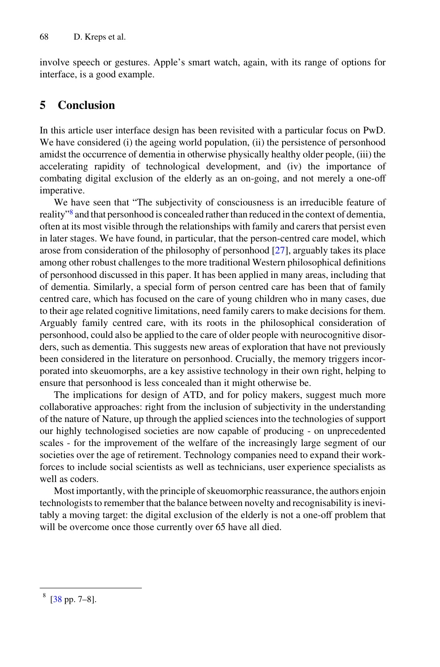involve speech or gestures. Apple's smart watch, again, with its range of options for interface, is a good example.

# **5 Conclusion**

In this article user interface design has been revisited with a particular focus on PwD. We have considered (i) the ageing world population, (ii) the persistence of personhood amidst the occurrence of dementia in otherwise physically healthy older people, (iii) the accelerating rapidity of technological development, and (iv) the importance of combating digital exclusion of the elderly as an on-going, and not merely a one-off imperative.

We have seen that "The subjectivity of consciousness is an irreducible feature of reality"8 and that personhood is concealed rather than reduced in the context of dementia, often at its most visible through the relationships with family and carers that persist even in later stages. We have found, in particular, that the person-centred care model, which arose from consideration of the philosophy of personhood [27], arguably takes its place among other robust challenges to the more traditional Western philosophical definitions of personhood discussed in this paper. It has been applied in many areas, including that of dementia. Similarly, a special form of person centred care has been that of family centred care, which has focused on the care of young children who in many cases, due to their age related cognitive limitations, need family carers to make decisions for them. Arguably family centred care, with its roots in the philosophical consideration of personhood, could also be applied to the care of older people with neurocognitive disorders, such as dementia. This suggests new areas of exploration that have not previously been considered in the literature on personhood. Crucially, the memory triggers incorporated into skeuomorphs, are a key assistive technology in their own right, helping to ensure that personhood is less concealed than it might otherwise be.

The implications for design of ATD, and for policy makers, suggest much more collaborative approaches: right from the inclusion of subjectivity in the understanding of the nature of Nature, up through the applied sciences into the technologies of support our highly technologised societies are now capable of producing - on unprecedented scales - for the improvement of the welfare of the increasingly large segment of our societies over the age of retirement. Technology companies need to expand their workforces to include social scientists as well as technicians, user experience specialists as well as coders.

Most importantly, with the principle of skeuomorphic reassurance, the authors enjoin technologists to remember that the balance between novelty and recognisability is inevi‐ tably a moving target: the digital exclusion of the elderly is not a one-off problem that will be overcome once those currently over 65 have all died.

 $8$  [38 pp. 7–8].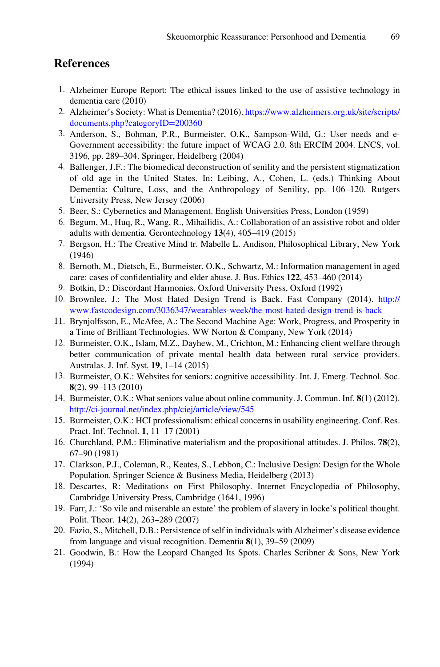## **References**

- 1. Alzheimer Europe Report: The ethical issues linked to the use of assistive technology in dementia care (2010)
- 2. Alzheimer's Society: What is Dementia? (2016). [https://www.alzheimers.org.uk/site/scripts/](https://www.alzheimers.org.uk/site/scripts/documents.php?categoryID=200360) [documents.php?categoryID=200360](https://www.alzheimers.org.uk/site/scripts/documents.php?categoryID=200360)
- 3. Anderson, S., Bohman, P.R., Burmeister, O.K., Sampson-Wild, G.: User needs and e-Government accessibility: the future impact of WCAG 2.0. 8th ERCIM 2004. LNCS, vol. 3196, pp. 289–304. Springer, Heidelberg (2004)
- 4. Ballenger, J.F.: The biomedical deconstruction of senility and the persistent stigmatization of old age in the United States. In: Leibing, A., Cohen, L. (eds.) Thinking About Dementia: Culture, Loss, and the Anthropology of Senility, pp. 106–120. Rutgers University Press, New Jersey (2006)
- 5. Beer, S.: Cybernetics and Management. English Universities Press, London (1959)
- 6. Begum, M., Huq, R., Wang, R., Mihailidis, A.: Collaboration of an assistive robot and older adults with dementia. Gerontechnology **13**(4), 405–419 (2015)
- 7. Bergson, H.: The Creative Mind tr. Mabelle L. Andison, Philosophical Library, New York (1946)
- 8. Bernoth, M., Dietsch, E., Burmeister, O.K., Schwartz, M.: Information management in aged care: cases of confidentiality and elder abuse. J. Bus. Ethics **122**, 453–460 (2014)
- 9. Botkin, D.: Discordant Harmonies. Oxford University Press, Oxford (1992)
- 10. Brownlee, J.: The Most Hated Design Trend is Back. Fast Company (2014). [http://](http://www.fastcodesign.com/3036347/wearables-week/the-most-hated-design-trend-is-back) [www.fastcodesign.com/3036347/wearables-week/the-most-hated-design-trend-is-back](http://www.fastcodesign.com/3036347/wearables-week/the-most-hated-design-trend-is-back)
- 11. Brynjolfsson, E., McAfee, A.: The Second Machine Age: Work, Progress, and Prosperity in a Time of Brilliant Technologies. WW Norton & Company, New York (2014)
- 12. Burmeister, O.K., Islam, M.Z., Dayhew, M., Crichton, M.: Enhancing client welfare through better communication of private mental health data between rural service providers. Australas. J. Inf. Syst. **19**, 1–14 (2015)
- 13. Burmeister, O.K.: Websites for seniors: cognitive accessibility. Int. J. Emerg. Technol. Soc. **8**(2), 99–113 (2010)
- 14. Burmeister, O.K.: What seniors value about online community. J. Commun. Inf. **8**(1) (2012). <http://ci-journal.net/index.php/ciej/article/view/545>
- 15. Burmeister, O.K.: HCI professionalism: ethical concerns in usability engineering. Conf. Res. Pract. Inf. Technol. **1**, 11–17 (2001)
- 16. Churchland, P.M.: Eliminative materialism and the propositional attitudes. J. Philos. **78**(2), 67–90 (1981)
- 17. Clarkson, P.J., Coleman, R., Keates, S., Lebbon, C.: Inclusive Design: Design for the Whole Population. Springer Science & Business Media, Heidelberg (2013)
- 18. Descartes, R: Meditations on First Philosophy. Internet Encyclopedia of Philosophy, Cambridge University Press, Cambridge (1641, 1996)
- 19. Farr, J.: 'So vile and miserable an estate' the problem of slavery in locke's political thought. Polit. Theor. **14**(2), 263–289 (2007)
- 20. Fazio, S., Mitchell, D.B.: Persistence of self in individuals with Alzheimer's disease evidence from language and visual recognition. Dementia **8**(1), 39–59 (2009)
- 21. Goodwin, B.: How the Leopard Changed Its Spots. Charles Scribner & Sons, New York (1994)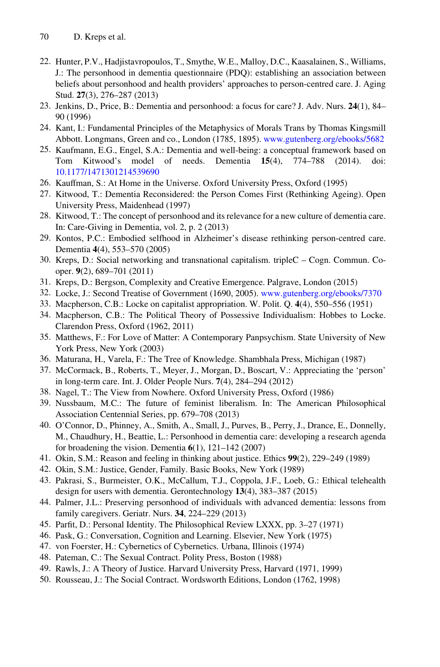- 22. Hunter, P.V., Hadjistavropoulos, T., Smythe, W.E., Malloy, D.C., Kaasalainen, S., Williams, J.: The personhood in dementia questionnaire (PDQ): establishing an association between beliefs about personhood and health providers' approaches to person-centred care. J. Aging Stud. **27**(3), 276–287 (2013)
- 23. Jenkins, D., Price, B.: Dementia and personhood: a focus for care? J. Adv. Nurs. **24**(1), 84– 90 (1996)
- 24. Kant, I.: Fundamental Principles of the Metaphysics of Morals Trans by Thomas Kingsmill Abbott. Longmans, Green and co., London (1785, 1895). [www.gutenberg.org/ebooks/5682](http://www.gutenberg.org/ebooks/5682)
- 25. Kaufmann, E.G., Engel, S.A.: Dementia and well-being: a conceptual framework based on Tom Kitwood's model of needs. Dementia **15**(4), 774–788 (2014). doi: [10.1177/1471301214539690](http://dx.doi.org/10.1177/1471301214539690)
- 26. Kauffman, S.: At Home in the Universe. Oxford University Press, Oxford (1995)
- 27. Kitwood, T.: Dementia Reconsidered: the Person Comes First (Rethinking Ageing). Open University Press, Maidenhead (1997)
- 28. Kitwood, T.: The concept of personhood and its relevance for a new culture of dementia care. In: Care-Giving in Dementia, vol. 2, p. 2 (2013)
- 29. Kontos, P.C.: Embodied selfhood in Alzheimer's disease rethinking person-centred care. Dementia **4**(4), 553–570 (2005)
- 30. Kreps, D.: Social networking and transnational capitalism. tripleC Cogn. Commun. Cooper. **9**(2), 689–701 (2011)
- 31. Kreps, D.: Bergson, Complexity and Creative Emergence. Palgrave, London (2015)
- 32. Locke, J.: Second Treatise of Government (1690, 2005). [www.gutenberg.org/ebooks/7370](http://www.gutenberg.org/ebooks/7370)
- 33. Macpherson, C.B.: Locke on capitalist appropriation. W. Polit. Q. **4**(4), 550–556 (1951)
- 34. Macpherson, C.B.: The Political Theory of Possessive Individualism: Hobbes to Locke. Clarendon Press, Oxford (1962, 2011)
- 35. Matthews, F.: For Love of Matter: A Contemporary Panpsychism. State University of New York Press, New York (2003)
- 36. Maturana, H., Varela, F.: The Tree of Knowledge. Shambhala Press, Michigan (1987)
- 37. McCormack, B., Roberts, T., Meyer, J., Morgan, D., Boscart, V.: Appreciating the 'person' in long-term care. Int. J. Older People Nurs. **7**(4), 284–294 (2012)
- 38. Nagel, T.: The View from Nowhere. Oxford University Press, Oxford (1986)
- 39. Nussbaum, M.C.: The future of feminist liberalism. In: The American Philosophical Association Centennial Series, pp. 679–708 (2013)
- 40. O'Connor, D., Phinney, A., Smith, A., Small, J., Purves, B., Perry, J., Drance, E., Donnelly, M., Chaudhury, H., Beattie, L.: Personhood in dementia care: developing a research agenda for broadening the vision. Dementia **6**(1), 121–142 (2007)
- 41. Okin, S.M.: Reason and feeling in thinking about justice. Ethics **99**(2), 229–249 (1989)
- 42. Okin, S.M.: Justice, Gender, Family. Basic Books, New York (1989)
- 43. Pakrasi, S., Burmeister, O.K., McCallum, T.J., Coppola, J.F., Loeb, G.: Ethical telehealth design for users with dementia. Gerontechnology **13**(4), 383–387 (2015)
- 44. Palmer, J.L.: Preserving personhood of individuals with advanced dementia: lessons from family caregivers. Geriatr. Nurs. **34**, 224–229 (2013)
- 45. Parfit, D.: Personal Identity. The Philosophical Review LXXX, pp. 3–27 (1971)
- 46. Pask, G.: Conversation, Cognition and Learning. Elsevier, New York (1975)
- 47. von Foerster, H.: Cybernetics of Cybernetics. Urbana, Illinois (1974)
- 48. Pateman, C.: The Sexual Contract. Polity Press, Boston (1988)
- 49. Rawls, J.: A Theory of Justice. Harvard University Press, Harvard (1971, 1999)
- 50. Rousseau, J.: The Social Contract. Wordsworth Editions, London (1762, 1998)